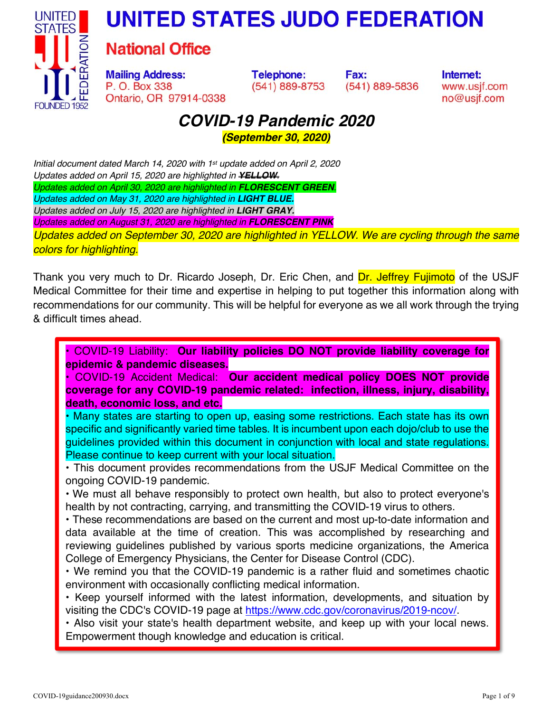



# **National Office**

**Mailing Address:** P. O. Box 338 Ontario, OR 97914-0338 **Telephone:** (541) 889-8753 Fax: (541) 889-5836 Internet: www.usjf.com no@usjf.com

# *COVID-19 Pandemic 2020*

*(September 30, 2020)* 

*Initial document dated March 14, 2020 with 1st update added on April 2, 2020 Updates added on April 15, 2020 are highlighted in YELLOW. Updates added on April 30, 2020 are highlighted in FLORESCENT GREEN. Updates added on May 31, 2020 are highlighted in LIGHT BLUE. Updates added on July 15, 2020 are highlighted in LIGHT GRAY. Updates added on August 31, 2020 are highlighted in FLORESCENT PINK Updates added on September 30, 2020 are highlighted in YELLOW. We are cycling through the same colors for highlighting.* 

Thank you very much to Dr. Ricardo Joseph, Dr. Eric Chen, and Dr. Jeffrey Fujimoto of the USJF Medical Committee for their time and expertise in helping to put together this information along with recommendations for our community. This will be helpful for everyone as we all work through the trying & difficult times ahead.

• COVID-19 Liability: **Our liability policies DO NOT provide liability coverage for epidemic & pandemic diseases.** 

**•** COVID-19 Accident Medical: **Our accident medical policy DOES NOT provide coverage for any COVID-19 pandemic related: infection, illness, injury, disability, death, economic loss, and etc.** 

**•** Many states are starting to open up, easing some restrictions. Each state has its own specific and significantly varied time tables. It is incumbent upon each dojo/club to use the guidelines provided within this document in conjunction with local and state regulations. Please continue to keep current with your local situation.

**•** This document provides recommendations from the USJF Medical Committee on the ongoing COVID-19 pandemic.

**•** We must all behave responsibly to protect own health, but also to protect everyone's health by not contracting, carrying, and transmitting the COVID-19 virus to others.

**•** These recommendations are based on the current and most up-to-date information and data available at the time of creation. This was accomplished by researching and reviewing guidelines published by various sports medicine organizations, the America College of Emergency Physicians, the Center for Disease Control (CDC).

**•** We remind you that the COVID-19 pandemic is a rather fluid and sometimes chaotic environment with occasionally conflicting medical information.

**•** Keep yourself informed with the latest information, developments, and situation by visiting the CDC's COVID-19 page at https://www.cdc.gov/coronavirus/2019-ncov/.

**•** Also visit your state's health department website, and keep up with your local news. Empowerment though knowledge and education is critical.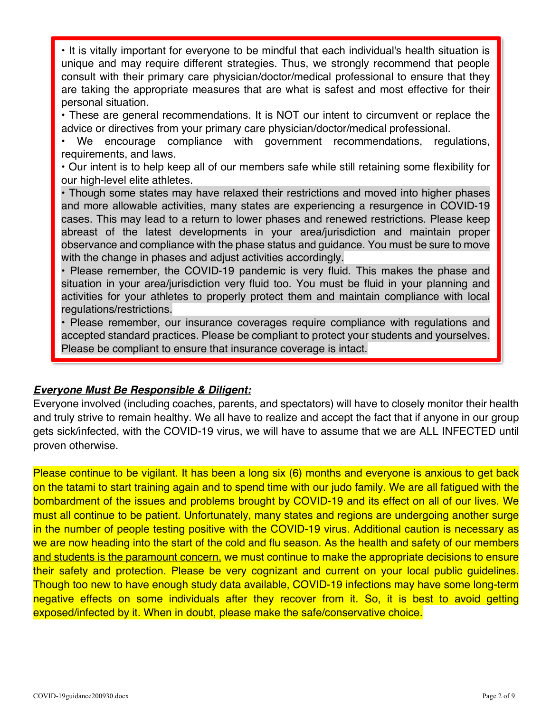**•** It is vitally important for everyone to be mindful that each individual's health situation is unique and may require different strategies. Thus, we strongly recommend that people consult with their primary care physician/doctor/medical professional to ensure that they are taking the appropriate measures that are what is safest and most effective for their personal situation.

**•** These are general recommendations. It is NOT our intent to circumvent or replace the advice or directives from your primary care physician/doctor/medical professional.

**•** We encourage compliance with government recommendations, regulations, requirements, and laws.

**•** Our intent is to help keep all of our members safe while still retaining some flexibility for our high-level elite athletes.

**•** Though some states may have relaxed their restrictions and moved into higher phases and more allowable activities, many states are experiencing a resurgence in COVID-19 cases. This may lead to a return to lower phases and renewed restrictions. Please keep abreast of the latest developments in your area/jurisdiction and maintain proper observance and compliance with the phase status and guidance. You must be sure to move with the change in phases and adjust activities accordingly.

**•** Please remember, the COVID-19 pandemic is very fluid. This makes the phase and situation in your area/jurisdiction very fluid too. You must be fluid in your planning and activities for your athletes to properly protect them and maintain compliance with local regulations/restrictions.

• Please remember, our insurance coverages require compliance with regulations and accepted standard practices. Please be compliant to protect your students and yourselves. Please be compliant to ensure that insurance coverage is intact.

# *Everyone Must Be Responsible & Diligent:*

Everyone involved (including coaches, parents, and spectators) will have to closely monitor their health and truly strive to remain healthy. We all have to realize and accept the fact that if anyone in our group gets sick/infected, with the COVID-19 virus, we will have to assume that we are ALL INFECTED until proven otherwise.

Please continue to be vigilant. It has been a long six (6) months and everyone is anxious to get back on the tatami to start training again and to spend time with our judo family. We are all fatigued with the bombardment of the issues and problems brought by COVID-19 and its effect on all of our lives. We must all continue to be patient. Unfortunately, many states and regions are undergoing another surge in the number of people testing positive with the COVID-19 virus. Additional caution is necessary as we are now heading into the start of the cold and flu season. As the health and safety of our members and students is the paramount concern, we must continue to make the appropriate decisions to ensure their safety and protection. Please be very cognizant and current on your local public guidelines. Though too new to have enough study data available, COVID-19 infections may have some long-term negative effects on some individuals after they recover from it. So, it is best to avoid getting exposed/infected by it. When in doubt, please make the safe/conservative choice.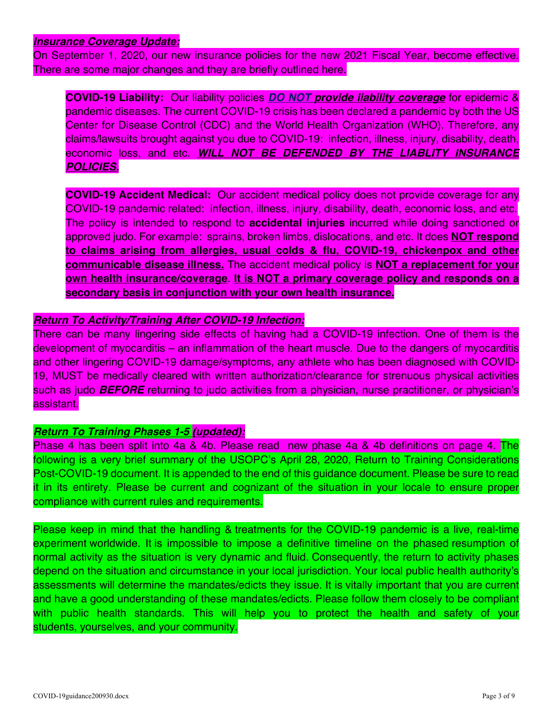#### *Insurance Coverage Update:*

On September 1, 2020, our new insurance policies for the new 2021 Fiscal Year, become effective. There are some major changes and they are briefly outlined here.

**COVID-19 Liability:** Our liability policies *DO NOT provide liability coverage* for epidemic & pandemic diseases. The current COVID-19 crisis has been declared a pandemic by both the US Center for Disease Control (CDC) and the World Health Organization (WHO). Therefore, any claims/lawsuits brought against you due to COVID-19: infection, illness, injury, disability, death, economic loss, and etc. *WILL NOT BE DEFENDED BY THE LIABLITY INSURANCE POLICIES.*

**COVID-19 Accident Medical:** Our accident medical policy does not provide coverage for any COVID-19 pandemic related: infection, illness, injury, disability, death, economic loss, and etc. The policy is intended to respond to **accidental injuries** incurred while doing sanctioned or approved judo. For example: sprains, broken limbs, dislocations, and etc. It does **NOT respond to claims arising from allergies, usual colds & flu, COVID-19, chickenpox and other communicable disease illness.** The accident medical policy is **NOT a replacement for your own health insurance/coverage**. **It is NOT a primary coverage policy and responds on a secondary basis in conjunction with your own health insurance.**

#### *Return To Activity/Training After COVID-19 Infection:*

There can be many lingering side effects of having had a COVID-19 infection. One of them is the development of myocarditis – an inflammation of the heart muscle. Due to the dangers of myocarditis and other lingering COVID-19 damage/symptoms, any athlete who has been diagnosed with COVID-19, MUST be medically cleared with written authorization/clearance for strenuous physical activities such as judo *BEFORE* returning to judo activities from a physician, nurse practitioner, or physician's assistant.

#### *Return To Training Phases 1-5 (updated):*

Phase 4 has been split into 4a & 4b. Please read new phase 4a & 4b definitions on page 4. The following is a very brief summary of the USOPC's April 28, 2020, Return to Training Considerations Post-COVID-19 document. It is appended to the end of this guidance document. Please be sure to read it in its entirety. Please be current and cognizant of the situation in your locale to ensure proper compliance with current rules and requirements.

Please keep in mind that the handling & treatments for the COVID-19 pandemic is a live, real-time experiment worldwide. It is impossible to impose a definitive timeline on the phased resumption of normal activity as the situation is very dynamic and fluid. Consequently, the return to activity phases depend on the situation and circumstance in your local jurisdiction. Your local public health authority's assessments will determine the mandates/edicts they issue. It is vitally important that you are current and have a good understanding of these mandates/edicts. Please follow them closely to be compliant with public health standards. This will help you to protect the health and safety of your students, yourselves, and your community.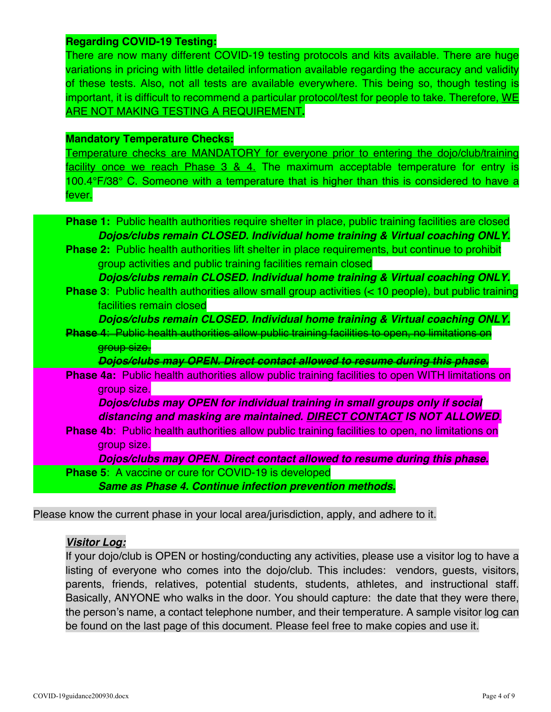#### **Regarding COVID-19 Testing:**

There are now many different COVID-19 testing protocols and kits available. There are huge variations in pricing with little detailed information available regarding the accuracy and validity of these tests. Also, not all tests are available everywhere. This being so, though testing is important, it is difficult to recommend a particular protocol/test for people to take. Therefore, WE ARE NOT MAKING TESTING A REQUIREMENT**.**

#### **Mandatory Temperature Checks:**

Temperature checks are MANDATORY for everyone prior to entering the dojo/club/training facility once we reach Phase 3 & 4. The maximum acceptable temperature for entry is 100.4°F/38° C. Someone with a temperature that is higher than this is considered to have a fever.

**Phase 1:** Public health authorities require shelter in place, public training facilities are closed  *Dojos/clubs remain CLOSED. Individual home training & Virtual coaching ONLY.*  **Phase 2:** Public health authorities lift shelter in place requirements, but continue to prohibit group activities and public training facilities remain closed  *Dojos/clubs remain CLOSED. Individual home training & Virtual coaching ONLY.*  **Phase 3**: Public health authorities allow small group activities (< 10 people), but public training facilities remain closed  *Dojos/clubs remain CLOSED. Individual home training & Virtual coaching ONLY.*  **Phase 4**: Public health authorities allow public training facilities to open, no limitations on group size.  *Dojos/clubs may OPEN. Direct contact allowed to resume during this phase.*  **Phase 4a:** Public health authorities allow public training facilities to open WITH limitations on group size. *Dojos/clubs may OPEN for individual training in small groups only if social distancing and masking are maintained. DIRECT CONTACT IS NOT ALLOWED*. **Phase 4b**: Public health authorities allow public training facilities to open, no limitations on group size.  *Dojos/clubs may OPEN. Direct contact allowed to resume during this phase.*  **Phase 5**: A vaccine or cure for COVID-19 is developed  *Same as Phase 4. Continue infection prevention methods.*

Please know the current phase in your local area/jurisdiction, apply, and adhere to it.

#### *Visitor Log:*

If your dojo/club is OPEN or hosting/conducting any activities, please use a visitor log to have a listing of everyone who comes into the dojo/club. This includes: vendors, guests, visitors, parents, friends, relatives, potential students, students, athletes, and instructional staff. Basically, ANYONE who walks in the door. You should capture: the date that they were there, the person's name, a contact telephone number, and their temperature. A sample visitor log can be found on the last page of this document. Please feel free to make copies and use it.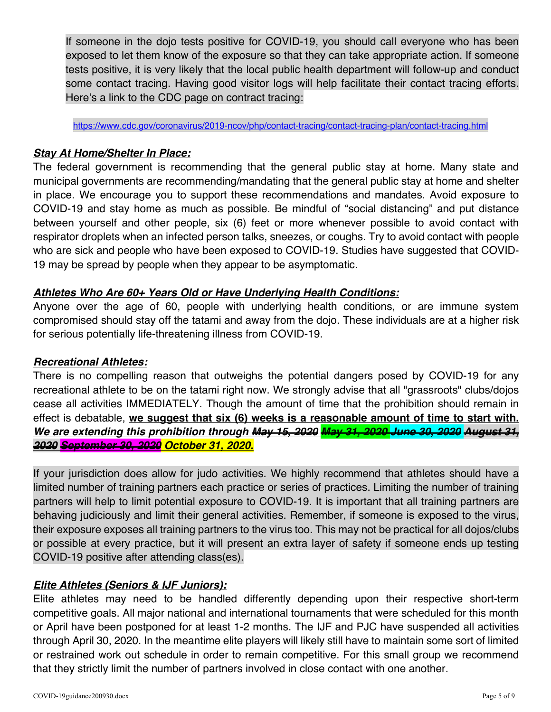If someone in the dojo tests positive for COVID-19, you should call everyone who has been exposed to let them know of the exposure so that they can take appropriate action. If someone tests positive, it is very likely that the local public health department will follow-up and conduct some contact tracing. Having good visitor logs will help facilitate their contact tracing efforts. Here's a link to the CDC page on contract tracing:

https://www.cdc.gov/coronavirus/2019-ncov/php/contact-tracing/contact-tracing-plan/contact-tracing.html

#### *Stay At Home/Shelter In Place:*

The federal government is recommending that the general public stay at home. Many state and municipal governments are recommending/mandating that the general public stay at home and shelter in place. We encourage you to support these recommendations and mandates. Avoid exposure to COVID-19 and stay home as much as possible. Be mindful of "social distancing" and put distance between yourself and other people, six (6) feet or more whenever possible to avoid contact with respirator droplets when an infected person talks, sneezes, or coughs. Try to avoid contact with people who are sick and people who have been exposed to COVID-19. Studies have suggested that COVID-19 may be spread by people when they appear to be asymptomatic.

# *Athletes Who Are 60+ Years Old or Have Underlying Health Conditions:*

Anyone over the age of 60, people with underlying health conditions, or are immune system compromised should stay off the tatami and away from the dojo. These individuals are at a higher risk for serious potentially life-threatening illness from COVID-19.

#### *Recreational Athletes:*

There is no compelling reason that outweighs the potential dangers posed by COVID-19 for any recreational athlete to be on the tatami right now. We strongly advise that all "grassroots" clubs/dojos cease all activities IMMEDIATELY. Though the amount of time that the prohibition should remain in effect is debatable, **we suggest that six (6) weeks is a reasonable amount of time to start with.**  *We are extending this prohibition through May 15, 2020 May 31, 2020 June 30, 2020 August 31, 2020 September 30, 2020 October 31, 2020.* 

If your jurisdiction does allow for judo activities. We highly recommend that athletes should have a limited number of training partners each practice or series of practices. Limiting the number of training partners will help to limit potential exposure to COVID-19. It is important that all training partners are behaving judiciously and limit their general activities. Remember, if someone is exposed to the virus, their exposure exposes all training partners to the virus too. This may not be practical for all dojos/clubs or possible at every practice, but it will present an extra layer of safety if someone ends up testing COVID-19 positive after attending class(es).

# *Elite Athletes (Seniors & IJF Juniors):*

Elite athletes may need to be handled differently depending upon their respective short-term competitive goals. All major national and international tournaments that were scheduled for this month or April have been postponed for at least 1-2 months. The IJF and PJC have suspended all activities through April 30, 2020. In the meantime elite players will likely still have to maintain some sort of limited or restrained work out schedule in order to remain competitive. For this small group we recommend that they strictly limit the number of partners involved in close contact with one another.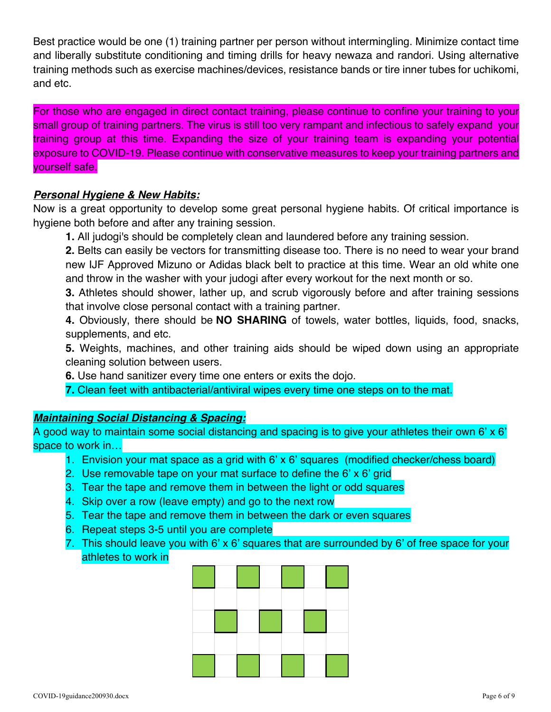Best practice would be one (1) training partner per person without intermingling. Minimize contact time and liberally substitute conditioning and timing drills for heavy newaza and randori. Using alternative training methods such as exercise machines/devices, resistance bands or tire inner tubes for uchikomi, and etc.

For those who are engaged in direct contact training, please continue to confine your training to your small group of training partners. The virus is still too very rampant and infectious to safely expand your training group at this time. Expanding the size of your training team is expanding your potential exposure to COVID-19. Please continue with conservative measures to keep your training partners and yourself safe.

#### *Personal Hygiene & New Habits:*

Now is a great opportunity to develop some great personal hygiene habits. Of critical importance is hygiene both before and after any training session.

**1.** All judogi's should be completely clean and laundered before any training session.

**2.** Belts can easily be vectors for transmitting disease too. There is no need to wear your brand new IJF Approved Mizuno or Adidas black belt to practice at this time. Wear an old white one and throw in the washer with your judogi after every workout for the next month or so.

**3.** Athletes should shower, lather up, and scrub vigorously before and after training sessions that involve close personal contact with a training partner.

**4.** Obviously, there should be **NO SHARING** of towels, water bottles, liquids, food, snacks, supplements, and etc.

**5.** Weights, machines, and other training aids should be wiped down using an appropriate cleaning solution between users.

**6.** Use hand sanitizer every time one enters or exits the dojo.

**7.** Clean feet with antibacterial/antiviral wipes every time one steps on to the mat.

# *Maintaining Social Distancing & Spacing:*

A good way to maintain some social distancing and spacing is to give your athletes their own 6' x 6' space to work in…

- 1. Envision your mat space as a grid with 6' x 6' squares (modified checker/chess board)
- 2. Use removable tape on your mat surface to define the 6' x 6' grid
- 3. Tear the tape and remove them in between the light or odd squares
- 4. Skip over a row (leave empty) and go to the next row
- 5. Tear the tape and remove them in between the dark or even squares
- 6. Repeat steps 3-5 until you are complete
- 7. This should leave you with 6' x 6' squares that are surrounded by 6' of free space for your athletes to work in

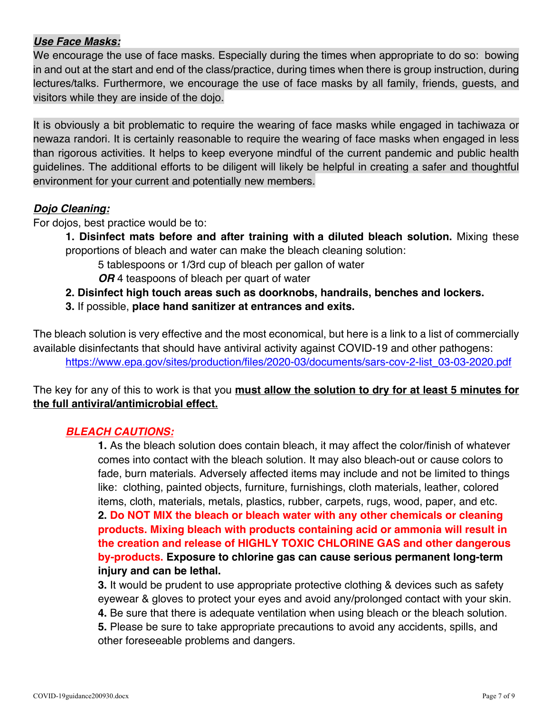# *Use Face Masks:*

We encourage the use of face masks. Especially during the times when appropriate to do so: bowing in and out at the start and end of the class/practice, during times when there is group instruction, during lectures/talks. Furthermore, we encourage the use of face masks by all family, friends, guests, and visitors while they are inside of the dojo.

It is obviously a bit problematic to require the wearing of face masks while engaged in tachiwaza or newaza randori. It is certainly reasonable to require the wearing of face masks when engaged in less than rigorous activities. It helps to keep everyone mindful of the current pandemic and public health guidelines. The additional efforts to be diligent will likely be helpful in creating a safer and thoughtful environment for your current and potentially new members.

#### *Dojo Cleaning:*

For dojos, best practice would be to:

**1. Disinfect mats before and after training with a diluted bleach solution.** Mixing these proportions of bleach and water can make the bleach cleaning solution:

5 tablespoons or 1/3rd cup of bleach per gallon of water

*OR* 4 teaspoons of bleach per quart of water

- **2. Disinfect high touch areas such as doorknobs, handrails, benches and lockers.**
- **3.** If possible, **place hand sanitizer at entrances and exits.**

The bleach solution is very effective and the most economical, but here is a link to a list of commercially available disinfectants that should have antiviral activity against COVID-19 and other pathogens: https://www.epa.gov/sites/production/files/2020-03/documents/sars-cov-2-list\_03-03-2020.pdf

# The key for any of this to work is that you **must allow the solution to dry for at least 5 minutes for the full antiviral/antimicrobial effect.**

# *BLEACH CAUTIONS:*

 **1.** As the bleach solution does contain bleach, it may affect the color/finish of whatever comes into contact with the bleach solution. It may also bleach-out or cause colors to fade, burn materials. Adversely affected items may include and not be limited to things like: clothing, painted objects, furniture, furnishings, cloth materials, leather, colored items, cloth, materials, metals, plastics, rubber, carpets, rugs, wood, paper, and etc. **2. Do NOT MIX the bleach or bleach water with any other chemicals or cleaning products. Mixing bleach with products containing acid or ammonia will result in the creation and release of HIGHLY TOXIC CHLORINE GAS and other dangerous by-products. Exposure to chlorine gas can cause serious permanent long-term injury and can be lethal.**

 **3.** It would be prudent to use appropriate protective clothing & devices such as safety eyewear & gloves to protect your eyes and avoid any/prolonged contact with your skin. **4.** Be sure that there is adequate ventilation when using bleach or the bleach solution. **5.** Please be sure to take appropriate precautions to avoid any accidents, spills, and other foreseeable problems and dangers.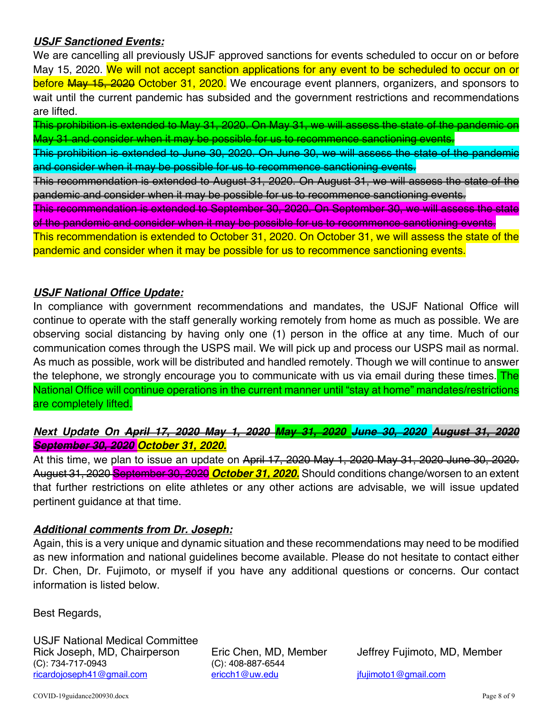### *USJF Sanctioned Events:*

We are cancelling all previously USJF approved sanctions for events scheduled to occur on or before May 15, 2020. We will not accept sanction applications for any event to be scheduled to occur on or before May 15, 2020 October 31, 2020. We encourage event planners, organizers, and sponsors to wait until the current pandemic has subsided and the government restrictions and recommendations are lifted.

This prohibition is extended to May 31, 2020. On May 31, we will assess the state of the pandemic on May 31 and consider when it may be possible for us to recommence sanctioning events.

This prohibition is extended to June 30, 2020. On June 30, we will assess the state of the pandemic and consider when it may be possible for us to recommence sanctioning events.

This recommendation is extended to August 31, 2020. On August 31, we will assess the state of the pandemic and consider when it may be possible for us to recommence sanctioning events.

This recommendation is extended to September 30, 2020. On September 30, we will assess the state of the pandemic and consider when it may be possible for us to recommence sanctioning events.

This recommendation is extended to October 31, 2020. On October 31, we will assess the state of the pandemic and consider when it may be possible for us to recommence sanctioning events.

#### *USJF National Office Update:*

In compliance with government recommendations and mandates, the USJF National Office will continue to operate with the staff generally working remotely from home as much as possible. We are observing social distancing by having only one (1) person in the office at any time. Much of our communication comes through the USPS mail. We will pick up and process our USPS mail as normal. As much as possible, work will be distributed and handled remotely. Though we will continue to answer the telephone, we strongly encourage you to communicate with us via email during these times. The National Office will continue operations in the current manner until "stay at home" mandates/restrictions are completely lifted.

# *Next Update On April 17, 2020 May 1, 2020 May 31, 2020 June 30, 2020 August 31, 2020 September 30, 2020 October 31, 2020.*

At this time, we plan to issue an update on April 17, 2020 May 1, 2020 May 31, 2020 June 30, 2020. August 31, 2020 September 30, 2020 *October 31, 2020.* Should conditions change/worsen to an extent that further restrictions on elite athletes or any other actions are advisable, we will issue updated pertinent guidance at that time.

#### *Additional comments from Dr. Joseph:*

Again, this is a very unique and dynamic situation and these recommendations may need to be modified as new information and national guidelines become available. Please do not hesitate to contact either Dr. Chen, Dr. Fujimoto, or myself if you have any additional questions or concerns. Our contact information is listed below.

Best Regards,

USJF National Medical Committee Rick Joseph, MD, Chairperson Eric Chen, MD, Member Jeffrey Fujimoto, MD, Member (C): 734-717-0943 (C): 408-887-6544 ricardojoseph41@gmail.com ericch1@uw.edu jfujimoto1@qmail.com